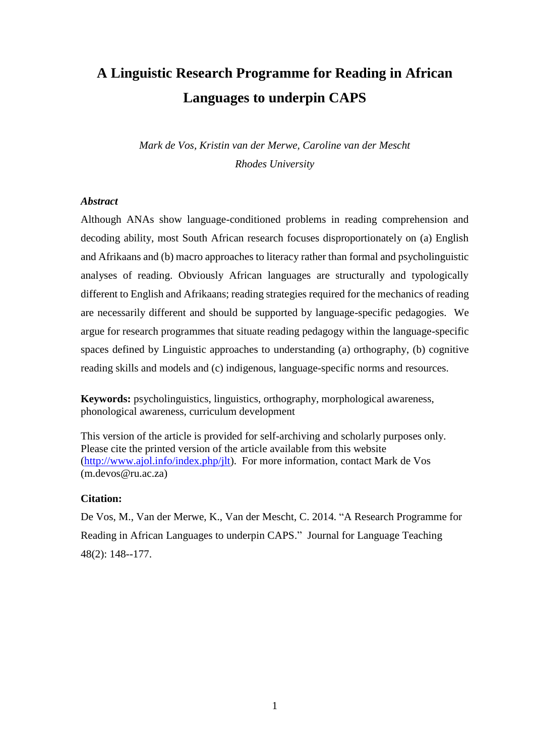# **A Linguistic Research Programme for Reading in African Languages to underpin CAPS**

*Mark de Vos, Kristin van der Merwe, Caroline van der Mescht Rhodes University*

### *Abstract*

Although ANAs show language-conditioned problems in reading comprehension and decoding ability, most South African research focuses disproportionately on (a) English and Afrikaans and (b) macro approaches to literacy rather than formal and psycholinguistic analyses of reading. Obviously African languages are structurally and typologically different to English and Afrikaans; reading strategies required for the mechanics of reading are necessarily different and should be supported by language-specific pedagogies. We argue for research programmes that situate reading pedagogy within the language-specific spaces defined by Linguistic approaches to understanding (a) orthography, (b) cognitive reading skills and models and (c) indigenous, language-specific norms and resources.

**Keywords:** psycholinguistics, linguistics, orthography, morphological awareness, phonological awareness, curriculum development

This version of the article is provided for self-archiving and scholarly purposes only. Please cite the printed version of the article available from this website [\(http://www.ajol.info/index.php/jlt\)](http://www.ajol.info/index.php/jlt). For more information, contact Mark de Vos (m.devos@ru.ac.za)

#### **Citation:**

De Vos, M., Van der Merwe, K., Van der Mescht, C. 2014. "A Research Programme for Reading in African Languages to underpin CAPS." Journal for Language Teaching 48(2): 148--177.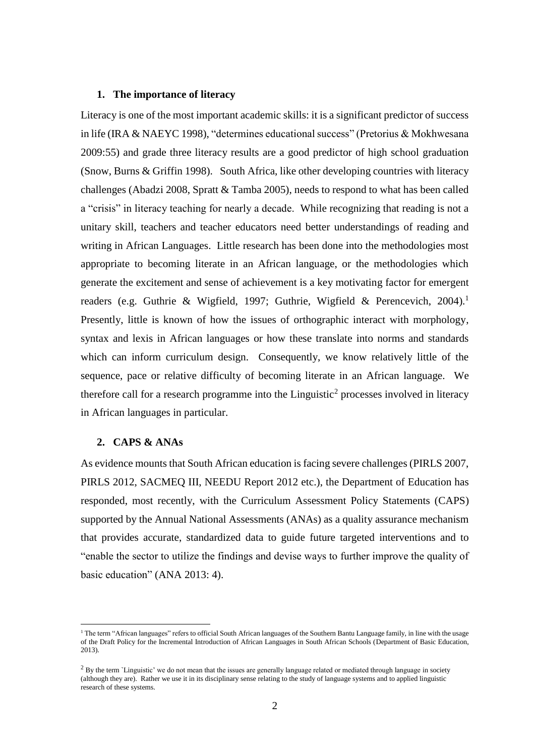#### **1. The importance of literacy**

Literacy is one of the most important academic skills: it is a significant predictor of success in life (IRA & NAEYC 1998), "determines educational success" (Pretorius & Mokhwesana 2009:55) and grade three literacy results are a good predictor of high school graduation (Snow, Burns & Griffin 1998). South Africa, like other developing countries with literacy challenges (Abadzi 2008, Spratt & Tamba 2005), needs to respond to what has been called a "crisis" in literacy teaching for nearly a decade. While recognizing that reading is not a unitary skill, teachers and teacher educators need better understandings of reading and writing in African Languages. Little research has been done into the methodologies most appropriate to becoming literate in an African language, or the methodologies which generate the excitement and sense of achievement is a key motivating factor for emergent readers (e.g. Guthrie & Wigfield, 1997; Guthrie, Wigfield & Perencevich, 2004). 1 Presently, little is known of how the issues of orthographic interact with morphology, syntax and lexis in African languages or how these translate into norms and standards which can inform curriculum design. Consequently, we know relatively little of the sequence, pace or relative difficulty of becoming literate in an African language. We therefore call for a research programme into the Linguistic<sup>2</sup> processes involved in literacy in African languages in particular.

# **2. CAPS & ANAs**

 $\overline{a}$ 

As evidence mounts that South African education is facing severe challenges (PIRLS 2007, PIRLS 2012, SACMEQ III, NEEDU Report 2012 etc.), the Department of Education has responded, most recently, with the Curriculum Assessment Policy Statements (CAPS) supported by the Annual National Assessments (ANAs) as a quality assurance mechanism that provides accurate, standardized data to guide future targeted interventions and to "enable the sector to utilize the findings and devise ways to further improve the quality of basic education" (ANA 2013: 4).

<sup>&</sup>lt;sup>1</sup> The term "African languages" refers to official South African languages of the Southern Bantu Language family, in line with the usage of the Draft Policy for the Incremental Introduction of African Languages in South African Schools (Department of Basic Education, 2013).

<sup>&</sup>lt;sup>2</sup> By the term `Linguistic' we do not mean that the issues are generally language related or mediated through language in society (although they are). Rather we use it in its disciplinary sense relating to the study of language systems and to applied linguistic research of these systems.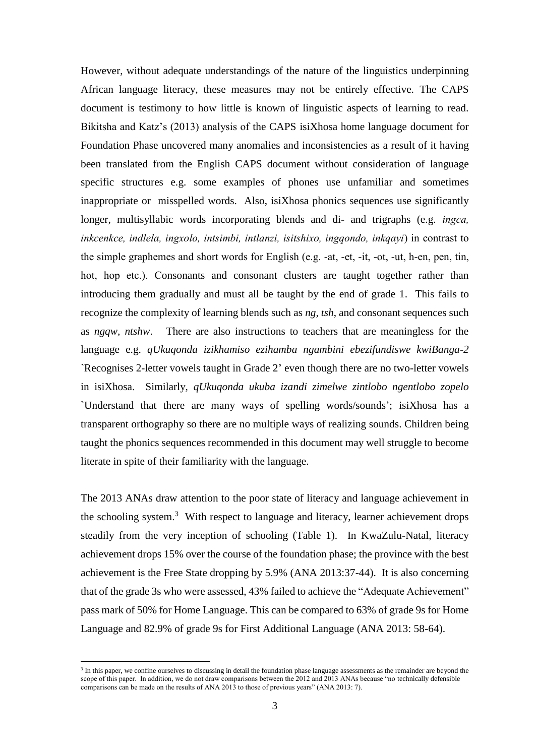However, without adequate understandings of the nature of the linguistics underpinning African language literacy, these measures may not be entirely effective. The CAPS document is testimony to how little is known of linguistic aspects of learning to read. Bikitsha and Katz's (2013) analysis of the CAPS isiXhosa home language document for Foundation Phase uncovered many anomalies and inconsistencies as a result of it having been translated from the English CAPS document without consideration of language specific structures e.g. some examples of phones use unfamiliar and sometimes inappropriate or misspelled words. Also, isiXhosa phonics sequences use significantly longer, multisyllabic words incorporating blends and di- and trigraphs (e.g. *ingca, inkcenkce, indlela, ingxolo, intsimbi, intlanzi, isitshixo, ingqondo, inkqayi*) in contrast to the simple graphemes and short words for English (e.g. -at, -et, -it, -ot, -ut, h-en, pen, tin, hot, hop etc.). Consonants and consonant clusters are taught together rather than introducing them gradually and must all be taught by the end of grade 1. This fails to recognize the complexity of learning blends such as *ng, tsh*, and consonant sequences such as *ngqw, ntshw*. There are also instructions to teachers that are meaningless for the language e.g. *qUkuqonda izikhamiso ezihamba ngambini ebezifundiswe kwiBanga-2* `Recognises 2-letter vowels taught in Grade 2' even though there are no two-letter vowels in isiXhosa. Similarly, *qUkuqonda ukuba izandi zimelwe zintlobo ngentlobo zopelo*  `Understand that there are many ways of spelling words/sounds'; isiXhosa has a transparent orthography so there are no multiple ways of realizing sounds. Children being taught the phonics sequences recommended in this document may well struggle to become literate in spite of their familiarity with the language.

The 2013 ANAs draw attention to the poor state of literacy and language achievement in the schooling system.<sup>3</sup> With respect to language and literacy, learner achievement drops steadily from the very inception of schooling (Table 1). In KwaZulu-Natal, literacy achievement drops 15% over the course of the foundation phase; the province with the best achievement is the Free State dropping by 5.9% (ANA 2013:37-44). It is also concerning that of the grade 3s who were assessed, 43% failed to achieve the "Adequate Achievement" pass mark of 50% for Home Language. This can be compared to 63% of grade 9s for Home Language and 82.9% of grade 9s for First Additional Language (ANA 2013: 58-64).

 $\overline{a}$ 

<sup>&</sup>lt;sup>3</sup> In this paper, we confine ourselves to discussing in detail the foundation phase language assessments as the remainder are beyond the scope of this paper. In addition, we do not draw comparisons between the 2012 and 2013 ANAs because "no technically defensible comparisons can be made on the results of ANA 2013 to those of previous years" (ANA 2013: 7).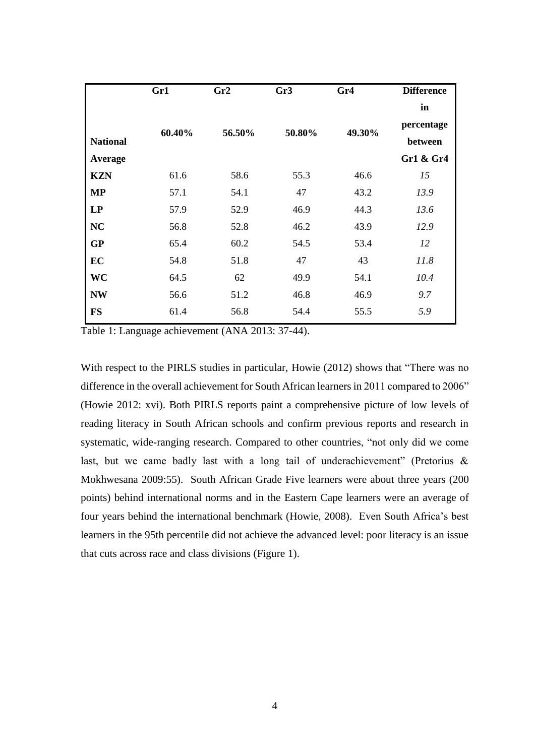|                 | Gr1    | Gr2    | Gr3    | Gr4    | <b>Difference</b> |
|-----------------|--------|--------|--------|--------|-------------------|
|                 |        |        |        |        | in                |
|                 | 60.40% | 56.50% | 50.80% | 49.30% | percentage        |
| <b>National</b> |        |        |        |        | between           |
| Average         |        |        |        |        | Gr1 & Gr4         |
| <b>KZN</b>      | 61.6   | 58.6   | 55.3   | 46.6   | 15                |
| <b>MP</b>       | 57.1   | 54.1   | 47     | 43.2   | 13.9              |
| LP              | 57.9   | 52.9   | 46.9   | 44.3   | 13.6              |
| <b>NC</b>       | 56.8   | 52.8   | 46.2   | 43.9   | 12.9              |
| <b>GP</b>       | 65.4   | 60.2   | 54.5   | 53.4   | 12                |
| EC              | 54.8   | 51.8   | 47     | 43     | 11.8              |
| WC              | 64.5   | 62     | 49.9   | 54.1   | 10.4              |
| <b>NW</b>       | 56.6   | 51.2   | 46.8   | 46.9   | 9.7               |
| <b>FS</b>       | 61.4   | 56.8   | 54.4   | 55.5   | 5.9               |
|                 |        |        |        |        |                   |

Table 1: Language achievement (ANA 2013: 37-44).

With respect to the PIRLS studies in particular, Howie (2012) shows that "There was no difference in the overall achievement for South African learners in 2011 compared to 2006" (Howie 2012: xvi). Both PIRLS reports paint a comprehensive picture of low levels of reading literacy in South African schools and confirm previous reports and research in systematic, wide-ranging research. Compared to other countries, "not only did we come last, but we came badly last with a long tail of underachievement" (Pretorius & Mokhwesana 2009:55). South African Grade Five learners were about three years (200 points) behind international norms and in the Eastern Cape learners were an average of four years behind the international benchmark (Howie, 2008). Even South Africa's best learners in the 95th percentile did not achieve the advanced level: poor literacy is an issue that cuts across race and class divisions (Figure 1).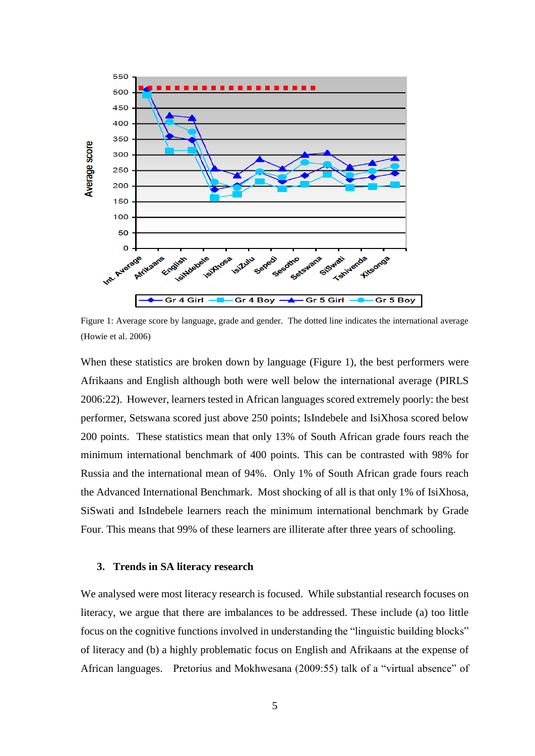

Figure 1: Average score by language, grade and gender. The dotted line indicates the international average (Howie et al. 2006)

When these statistics are broken down by language (Figure 1), the best performers were Afrikaans and English although both were well below the international average (PIRLS 2006:22). However, learners tested in African languages scored extremely poorly: the best performer, Setswana scored just above 250 points; IsIndebele and IsiXhosa scored below 200 points. These statistics mean that only 13% of South African grade fours reach the minimum international benchmark of 400 points. This can be contrasted with 98% for Russia and the international mean of 94%. Only 1% of South African grade fours reach the Advanced International Benchmark. Most shocking of all is that only 1% of IsiXhosa, SiSwati and IsIndebele learners reach the minimum international benchmark by Grade Four. This means that 99% of these learners are illiterate after three years of schooling.

#### **3. Trends in SA literacy research**

We analysed were most literacy research is focused. While substantial research focuses on literacy, we argue that there are imbalances to be addressed. These include (a) too little focus on the cognitive functions involved in understanding the "linguistic building blocks" of literacy and (b) a highly problematic focus on English and Afrikaans at the expense of African languages. Pretorius and Mokhwesana (2009:55) talk of a "virtual absence" of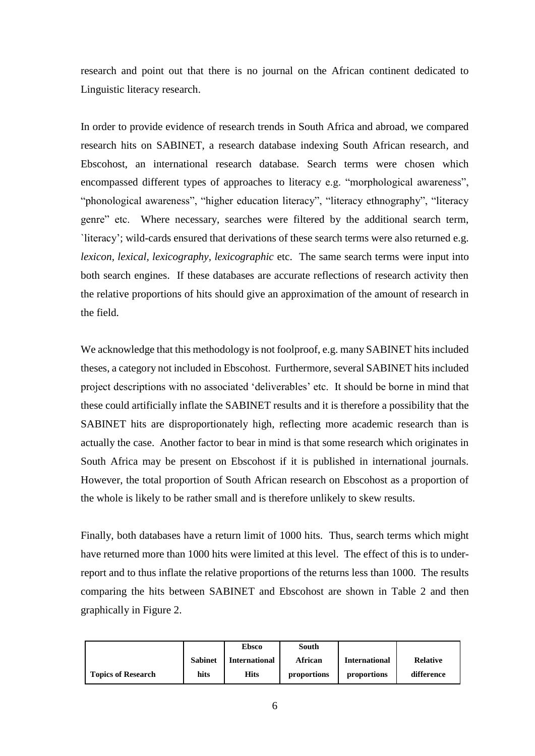research and point out that there is no journal on the African continent dedicated to Linguistic literacy research.

In order to provide evidence of research trends in South Africa and abroad, we compared research hits on SABINET, a research database indexing South African research, and Ebscohost, an international research database. Search terms were chosen which encompassed different types of approaches to literacy e.g. "morphological awareness", "phonological awareness", "higher education literacy", "literacy ethnography", "literacy genre" etc. Where necessary, searches were filtered by the additional search term, `literacy'; wild-cards ensured that derivations of these search terms were also returned e.g. *lexicon, lexical, lexicography, lexicographic* etc. The same search terms were input into both search engines. If these databases are accurate reflections of research activity then the relative proportions of hits should give an approximation of the amount of research in the field.

We acknowledge that this methodology is not foolproof, e.g. many SABINET hits included theses, a category not included in Ebscohost. Furthermore, several SABINET hits included project descriptions with no associated 'deliverables' etc. It should be borne in mind that these could artificially inflate the SABINET results and it is therefore a possibility that the SABINET hits are disproportionately high, reflecting more academic research than is actually the case. Another factor to bear in mind is that some research which originates in South Africa may be present on Ebscohost if it is published in international journals. However, the total proportion of South African research on Ebscohost as a proportion of the whole is likely to be rather small and is therefore unlikely to skew results.

Finally, both databases have a return limit of 1000 hits. Thus, search terms which might have returned more than 1000 hits were limited at this level. The effect of this is to underreport and to thus inflate the relative proportions of the returns less than 1000. The results comparing the hits between SABINET and Ebscohost are shown in Table 2 and then graphically in Figure 2.

|                           |                | <b>Ebsco</b>         | South       |                      |                 |
|---------------------------|----------------|----------------------|-------------|----------------------|-----------------|
|                           | <b>Sabinet</b> | <b>International</b> | African     | <b>International</b> | <b>Relative</b> |
| <b>Topics of Research</b> | hits           | <b>Hits</b>          | proportions | proportions          | difference      |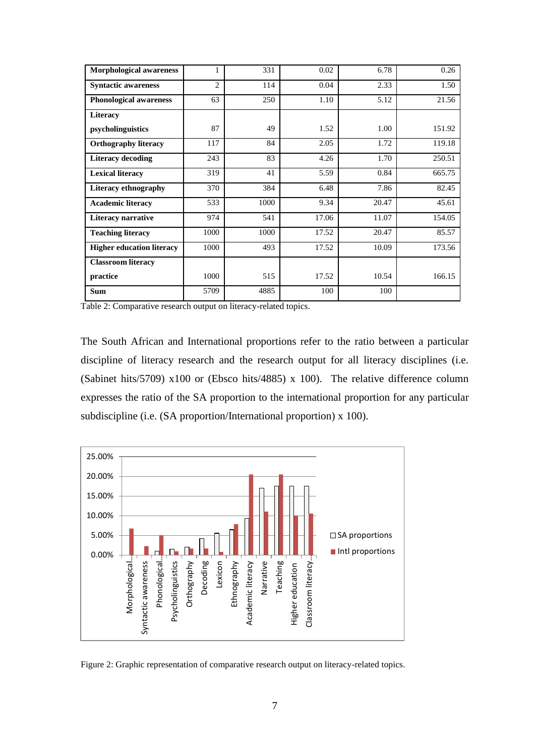| <b>Morphological awareness</b>   | 1              | 331  | 0.02  | 6.78  | 0.26   |
|----------------------------------|----------------|------|-------|-------|--------|
| <b>Syntactic awareness</b>       | $\overline{c}$ | 114  | 0.04  | 2.33  | 1.50   |
| <b>Phonological awareness</b>    | 63             | 250  | 1.10  | 5.12  | 21.56  |
| Literacy                         |                |      |       |       |        |
| psycholinguistics                | 87             | 49   | 1.52  | 1.00  | 151.92 |
| <b>Orthography literacy</b>      | 117            | 84   | 2.05  | 1.72  | 119.18 |
| <b>Literacy decoding</b>         | 243            | 83   | 4.26  | 1.70  | 250.51 |
| <b>Lexical literacy</b>          | 319            | 41   | 5.59  | 0.84  | 665.75 |
| <b>Literacy ethnography</b>      | 370            | 384  | 6.48  | 7.86  | 82.45  |
| <b>Academic literacy</b>         | 533            | 1000 | 9.34  | 20.47 | 45.61  |
| <b>Literacy narrative</b>        | 974            | 541  | 17.06 | 11.07 | 154.05 |
| <b>Teaching literacy</b>         | 1000           | 1000 | 17.52 | 20.47 | 85.57  |
| <b>Higher education literacy</b> | 1000           | 493  | 17.52 | 10.09 | 173.56 |
| <b>Classroom literacy</b>        |                |      |       |       |        |
| practice                         | 1000           | 515  | 17.52 | 10.54 | 166.15 |
| <b>Sum</b>                       | 5709           | 4885 | 100   | 100   |        |

Table 2: Comparative research output on literacy-related topics.

The South African and International proportions refer to the ratio between a particular discipline of literacy research and the research output for all literacy disciplines (i.e. (Sabinet hits/5709) x100 or (Ebsco hits/4885) x 100). The relative difference column expresses the ratio of the SA proportion to the international proportion for any particular subdiscipline (i.e. (SA proportion/International proportion) x 100).



Figure 2: Graphic representation of comparative research output on literacy-related topics.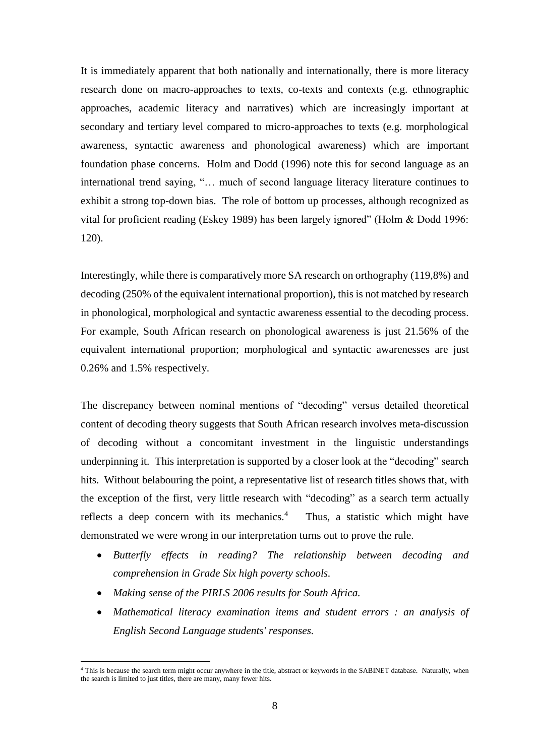It is immediately apparent that both nationally and internationally, there is more literacy research done on macro-approaches to texts, co-texts and contexts (e.g. ethnographic approaches, academic literacy and narratives) which are increasingly important at secondary and tertiary level compared to micro-approaches to texts (e.g. morphological awareness, syntactic awareness and phonological awareness) which are important foundation phase concerns. Holm and Dodd (1996) note this for second language as an international trend saying, "… much of second language literacy literature continues to exhibit a strong top-down bias. The role of bottom up processes, although recognized as vital for proficient reading (Eskey 1989) has been largely ignored" (Holm & Dodd 1996: 120).

Interestingly, while there is comparatively more SA research on orthography (119,8%) and decoding (250% of the equivalent international proportion), this is not matched by research in phonological, morphological and syntactic awareness essential to the decoding process. For example, South African research on phonological awareness is just 21.56% of the equivalent international proportion; morphological and syntactic awarenesses are just 0.26% and 1.5% respectively.

The discrepancy between nominal mentions of "decoding" versus detailed theoretical content of decoding theory suggests that South African research involves meta-discussion of decoding without a concomitant investment in the linguistic understandings underpinning it. This interpretation is supported by a closer look at the "decoding" search hits. Without belabouring the point, a representative list of research titles shows that, with the exception of the first, very little research with "decoding" as a search term actually reflects a deep concern with its mechanics.<sup>4</sup> Thus, a statistic which might have demonstrated we were wrong in our interpretation turns out to prove the rule.

- *Butterfly effects in reading? The relationship between decoding and comprehension in Grade Six high poverty schools.*
- *Making sense of the PIRLS 2006 results for South Africa.*

 $\overline{a}$ 

 *Mathematical literacy examination items and student errors : an analysis of English Second Language students' responses.*

<sup>4</sup> This is because the search term might occur anywhere in the title, abstract or keywords in the SABINET database. Naturally, when the search is limited to just titles, there are many, many fewer hits.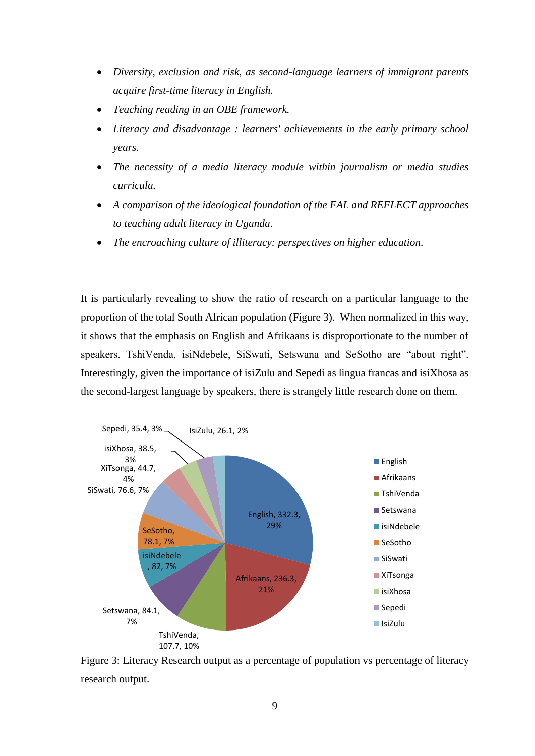- *Diversity, exclusion and risk, as second-language learners of immigrant parents acquire first-time literacy in English.*
- *Teaching reading in an OBE framework.*
- *Literacy and disadvantage : learners' achievements in the early primary school years.*
- *The necessity of a media literacy module within journalism or media studies curricula.*
- *A comparison of the ideological foundation of the FAL and REFLECT approaches to teaching adult literacy in Uganda.*
- *The encroaching culture of illiteracy: perspectives on higher education.*

It is particularly revealing to show the ratio of research on a particular language to the proportion of the total South African population (Figure 3). When normalized in this way, it shows that the emphasis on English and Afrikaans is disproportionate to the number of speakers. TshiVenda, isiNdebele, SiSwati, Setswana and SeSotho are "about right". Interestingly, given the importance of isiZulu and Sepedi as lingua francas and isiXhosa as the second-largest language by speakers, there is strangely little research done on them.



Figure 3: Literacy Research output as a percentage of population vs percentage of literacy research output.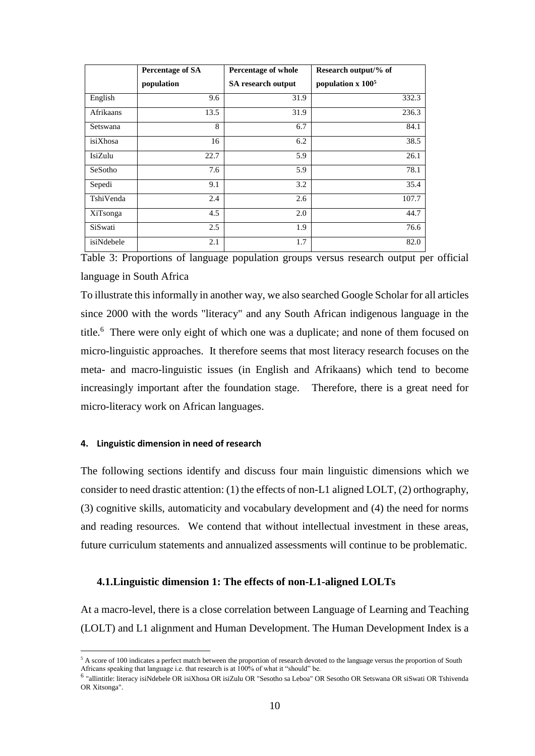|            | <b>Percentage of SA</b> | Percentage of whole | Research output/% of            |
|------------|-------------------------|---------------------|---------------------------------|
|            | population              | SA research output  | population $x$ 100 <sup>5</sup> |
| English    | 9.6                     | 31.9                | 332.3                           |
| Afrikaans  | 13.5                    | 31.9                | 236.3                           |
| Setswana   | 8                       | 6.7                 | 84.1                            |
| isiXhosa   | 16                      | 6.2                 | 38.5                            |
| IsiZulu    | 22.7                    | 5.9                 | 26.1                            |
| SeSotho    | 7.6                     | 5.9                 | 78.1                            |
| Sepedi     | 9.1                     | 3.2                 | 35.4                            |
| TshiVenda  | 2.4                     | 2.6                 | 107.7                           |
| XiTsonga   | 4.5                     | 2.0                 | 44.7                            |
| SiSwati    | 2.5                     | 1.9                 | 76.6                            |
| isiNdebele | 2.1                     | 1.7                 | 82.0                            |

Table 3: Proportions of language population groups versus research output per official language in South Africa

To illustrate thisinformally in another way, we also searched Google Scholar for all articles since 2000 with the words "literacy" and any South African indigenous language in the title.<sup>6</sup> There were only eight of which one was a duplicate; and none of them focused on micro-linguistic approaches. It therefore seems that most literacy research focuses on the meta- and macro-linguistic issues (in English and Afrikaans) which tend to become increasingly important after the foundation stage. Therefore, there is a great need for micro-literacy work on African languages.

#### **4. Linguistic dimension in need of research**

 $\overline{a}$ 

The following sections identify and discuss four main linguistic dimensions which we consider to need drastic attention: (1) the effects of non-L1 aligned LOLT, (2) orthography, (3) cognitive skills, automaticity and vocabulary development and (4) the need for norms and reading resources. We contend that without intellectual investment in these areas, future curriculum statements and annualized assessments will continue to be problematic.

#### **4.1.Linguistic dimension 1: The effects of non-L1-aligned LOLTs**

At a macro-level, there is a close correlation between Language of Learning and Teaching (LOLT) and L1 alignment and Human Development. The Human Development Index is a

<sup>&</sup>lt;sup>5</sup> A score of 100 indicates a perfect match between the proportion of research devoted to the language versus the proportion of South Africans speaking that language i.e. that research is at 100% of what it "should" be.

<sup>6</sup> "allintitle: literacy isiNdebele OR isiXhosa OR isiZulu OR "Sesotho sa Leboa" OR Sesotho OR Setswana OR siSwati OR Tshivenda OR Xitsonga".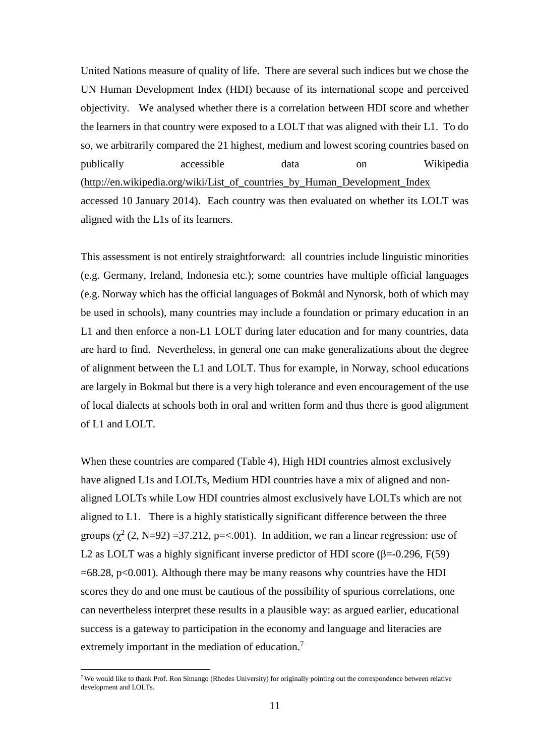United Nations measure of quality of life. There are several such indices but we chose the UN Human Development Index (HDI) because of its international scope and perceived objectivity. We analysed whether there is a correlation between HDI score and whether the learners in that country were exposed to a LOLT that was aligned with their L1. To do so, we arbitrarily compared the 21 highest, medium and lowest scoring countries based on publically accessible data on Wikipedia [\(http://en.wikipedia.org/wiki/List\\_of\\_countries\\_by\\_Human\\_Development\\_Index](http://en.wikipedia.org/wiki/List_of_countries_by_Human_Development_Index) accessed 10 January 2014). Each country was then evaluated on whether its LOLT was aligned with the L1s of its learners.

This assessment is not entirely straightforward: all countries include linguistic minorities (e.g. Germany, Ireland, Indonesia etc.); some countries have multiple official languages (e.g. Norway which has the official languages of Bokmål and Nynorsk, both of which may be used in schools), many countries may include a foundation or primary education in an L1 and then enforce a non-L1 LOLT during later education and for many countries, data are hard to find. Nevertheless, in general one can make generalizations about the degree of alignment between the L1 and LOLT. Thus for example, in Norway, school educations are largely in Bokmal but there is a very high tolerance and even encouragement of the use of local dialects at schools both in oral and written form and thus there is good alignment of L1 and LOLT.

When these countries are compared (Table 4), High HDI countries almost exclusively have aligned L1s and LOLTs, Medium HDI countries have a mix of aligned and nonaligned LOLTs while Low HDI countries almost exclusively have LOLTs which are not aligned to L1. There is a highly statistically significant difference between the three groups  $(\chi^2 (2, N=92) = 37.212, p = < .001)$ . In addition, we ran a linear regression: use of L2 as LOLT was a highly significant inverse predictor of HDI score ( $\beta$ =-0.296, F(59)  $=68.28$ , p<0.001). Although there may be many reasons why countries have the HDI scores they do and one must be cautious of the possibility of spurious correlations, one can nevertheless interpret these results in a plausible way: as argued earlier, educational success is a gateway to participation in the economy and language and literacies are extremely important in the mediation of education.<sup>7</sup>

 $\overline{a}$ 

<sup>7</sup> We would like to thank Prof. Ron Simango (Rhodes University) for originally pointing out the correspondence between relative development and LOLTs.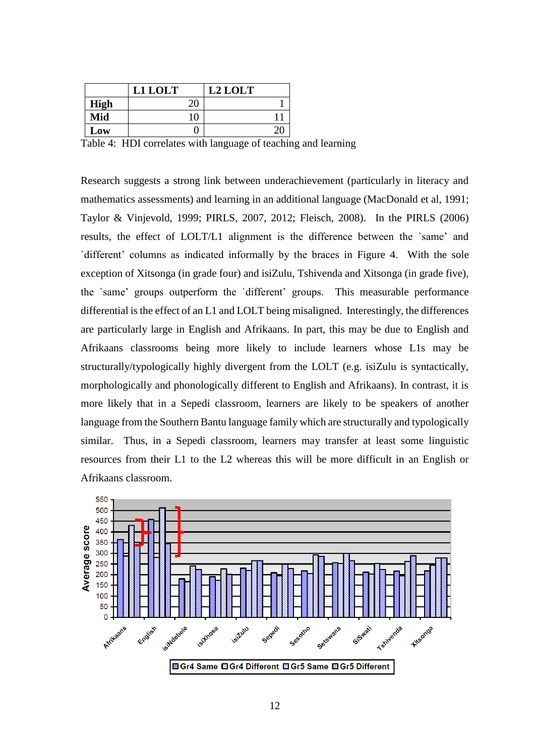|             | L1 LOLT | L2 LOLT |
|-------------|---------|---------|
| <b>High</b> |         |         |
| Mid         | 10      |         |
| Low         |         |         |

Table 4: HDI correlates with language of teaching and learning

Research suggests a strong link between underachievement (particularly in literacy and mathematics assessments) and learning in an additional language (MacDonald et al, 1991; Taylor & Vinjevold, 1999; PIRLS, 2007, 2012; Fleisch, 2008). In the PIRLS (2006) results, the effect of LOLT/L1 alignment is the difference between the `same' and `different' columns as indicated informally by the braces in Figure 4. With the sole exception of Xitsonga (in grade four) and isiZulu, Tshivenda and Xitsonga (in grade five), the `same' groups outperform the `different' groups. This measurable performance differential is the effect of an L1 and LOLT being misaligned. Interestingly, the differences are particularly large in English and Afrikaans. In part, this may be due to English and Afrikaans classrooms being more likely to include learners whose L1s may be structurally/typologically highly divergent from the LOLT (e.g. isiZulu is syntactically, morphologically and phonologically different to English and Afrikaans). In contrast, it is more likely that in a Sepedi classroom, learners are likely to be speakers of another language from the Southern Bantu language family which are structurally and typologically similar. Thus, in a Sepedi classroom, learners may transfer at least some linguistic resources from their L1 to the L2 whereas this will be more difficult in an English or Afrikaans classroom.

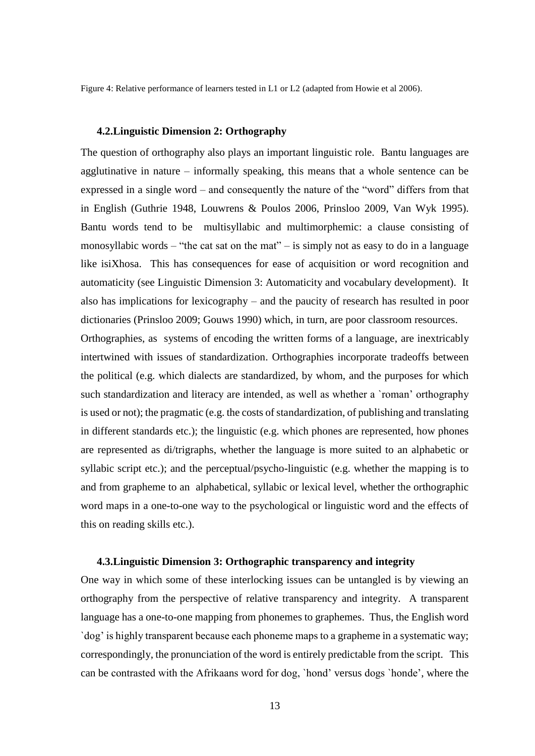Figure 4: Relative performance of learners tested in L1 or L2 (adapted from Howie et al 2006).

#### **4.2.Linguistic Dimension 2: Orthography**

The question of orthography also plays an important linguistic role. Bantu languages are agglutinative in nature – informally speaking, this means that a whole sentence can be expressed in a single word – and consequently the nature of the "word" differs from that in English (Guthrie 1948, Louwrens & Poulos 2006, Prinsloo 2009, Van Wyk 1995). Bantu words tend to be multisyllabic and multimorphemic: a clause consisting of monosyllabic words – "the cat sat on the mat" – is simply not as easy to do in a language like isiXhosa. This has consequences for ease of acquisition or word recognition and automaticity (see Linguistic Dimension 3: Automaticity and vocabulary development). It also has implications for lexicography – and the paucity of research has resulted in poor dictionaries (Prinsloo 2009; Gouws 1990) which, in turn, are poor classroom resources.

Orthographies, as systems of encoding the written forms of a language, are inextricably intertwined with issues of standardization. Orthographies incorporate tradeoffs between the political (e.g. which dialects are standardized, by whom, and the purposes for which such standardization and literacy are intended, as well as whether a `roman' orthography is used or not); the pragmatic (e.g. the costs of standardization, of publishing and translating in different standards etc.); the linguistic (e.g. which phones are represented, how phones are represented as di/trigraphs, whether the language is more suited to an alphabetic or syllabic script etc.); and the perceptual/psycho-linguistic (e.g. whether the mapping is to and from grapheme to an alphabetical, syllabic or lexical level, whether the orthographic word maps in a one-to-one way to the psychological or linguistic word and the effects of this on reading skills etc.).

#### **4.3.Linguistic Dimension 3: Orthographic transparency and integrity**

One way in which some of these interlocking issues can be untangled is by viewing an orthography from the perspective of relative transparency and integrity. A transparent language has a one-to-one mapping from phonemes to graphemes. Thus, the English word `dog' is highly transparent because each phoneme maps to a grapheme in a systematic way; correspondingly, the pronunciation of the word is entirely predictable from the script. This can be contrasted with the Afrikaans word for dog, `hond' versus dogs `honde', where the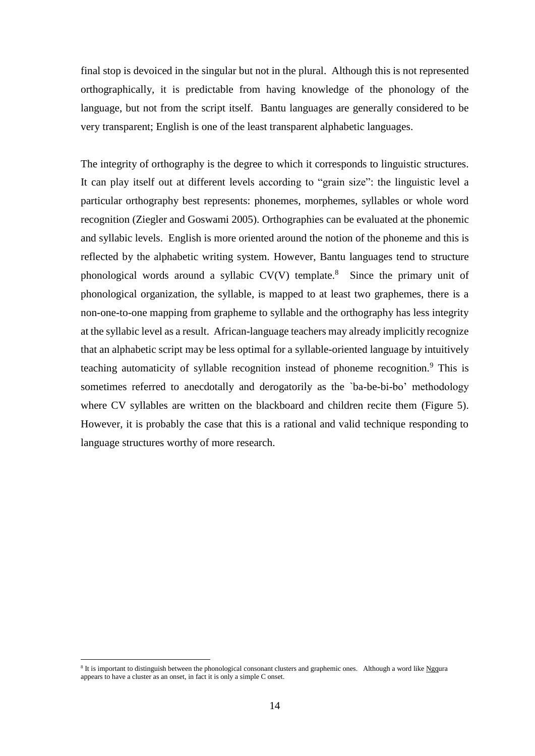final stop is devoiced in the singular but not in the plural. Although this is not represented orthographically, it is predictable from having knowledge of the phonology of the language, but not from the script itself. Bantu languages are generally considered to be very transparent; English is one of the least transparent alphabetic languages.

The integrity of orthography is the degree to which it corresponds to linguistic structures. It can play itself out at different levels according to "grain size": the linguistic level a particular orthography best represents: phonemes, morphemes, syllables or whole word recognition (Ziegler and Goswami 2005). Orthographies can be evaluated at the phonemic and syllabic levels. English is more oriented around the notion of the phoneme and this is reflected by the alphabetic writing system. However, Bantu languages tend to structure phonological words around a syllabic  $CV(V)$  template.<sup>8</sup> Since the primary unit of phonological organization, the syllable, is mapped to at least two graphemes, there is a non-one-to-one mapping from grapheme to syllable and the orthography has less integrity at the syllabic level as a result. African-language teachers may already implicitly recognize that an alphabetic script may be less optimal for a syllable-oriented language by intuitively teaching automaticity of syllable recognition instead of phoneme recognition.<sup>9</sup> This is sometimes referred to anecdotally and derogatorily as the `ba-be-bi-bo' methodology where CV syllables are written on the blackboard and children recite them (Figure 5). However, it is probably the case that this is a rational and valid technique responding to language structures worthy of more research.

 $\overline{a}$ 

<sup>&</sup>lt;sup>8</sup> It is important to distinguish between the phonological consonant clusters and graphemic ones. Although a word like Ngqura appears to have a cluster as an onset, in fact it is only a simple C onset.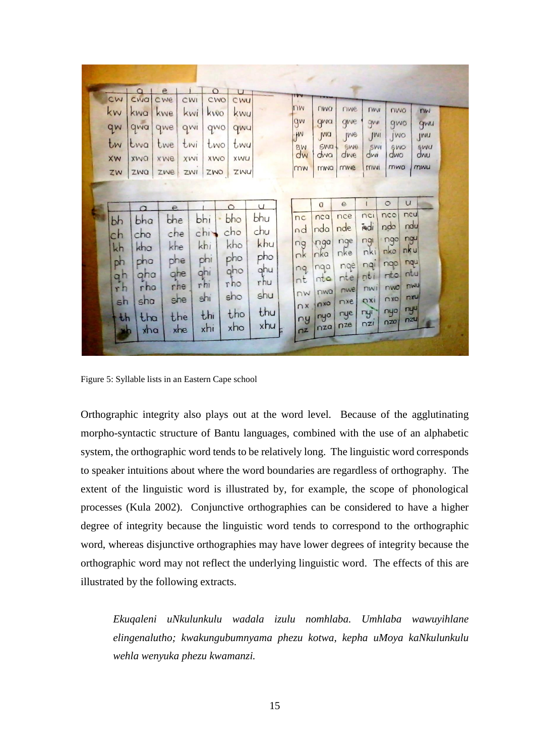| cw<br>kw<br>qw<br>tw<br>XW<br>ZW                         | CWQ<br>kwa<br>qwa<br>twa<br>xwa<br>ZWQ                                                | cwe<br>kwe<br>qwe<br>twe<br>xwe<br>zwe                                 | CWI<br>kwi<br>qwi<br>twi<br>XWI<br>ZWI | CWO<br>kwo<br>qwo<br>two<br><b>XWO</b><br>ZWO               | CWU<br>kwy<br>qwu<br>twy<br>XWU<br>ZWU                                 |                                                                       | TVV<br>nw<br>gw<br>W<br>8W<br>dw<br>mw                           | <b>LIMO</b><br>gwa<br>JWQ<br><b>SWa</b><br>dwa<br>mwa                   | riwe<br>qwe<br><i><u>IMe</u></i><br>SWe<br>dwe<br>mwe                             | <b>TIVII</b><br>gwn<br>JWI<br>SWI<br>dwi<br>mwi                     | nwo<br>gwo<br>JWO<br>6WO<br>dwo<br>mwo                                                  | mw<br>gwu<br>JMU<br>swu<br>dwu<br>mwu                                              |
|----------------------------------------------------------|---------------------------------------------------------------------------------------|------------------------------------------------------------------------|----------------------------------------|-------------------------------------------------------------|------------------------------------------------------------------------|-----------------------------------------------------------------------|------------------------------------------------------------------|-------------------------------------------------------------------------|-----------------------------------------------------------------------------------|---------------------------------------------------------------------|-----------------------------------------------------------------------------------------|------------------------------------------------------------------------------------|
| bh<br>ch<br>kh<br>ph<br>q <sub>h</sub><br>rh<br>sh<br>th | $\Omega$<br>bha<br>cha<br>kha<br>pho<br>qha<br>rha<br>sha<br>tha<br>$x$ <sub>na</sub> | $\overline{e}$<br>bhe<br>che<br>khe<br>phe<br>qhe<br>rhe<br>she<br>the | xhe                                    | bhi<br>chi<br>khi<br>phi<br>ghi<br>rhi<br>shi<br>thi<br>xhi | $\circ$<br>bho<br>cho<br>kho<br>pho<br>gho<br>rho<br>sho<br>tho<br>xho | $\cup$<br>bhu<br>chu<br>khu<br>pho<br>qhu<br>rhu<br>shu<br>thu<br>xhu | nc<br>nd<br>ng<br>nk<br>nq<br>nt<br>$\n  N\n$<br>n x<br>ny<br>nz | a<br>nca<br>nda<br>nga<br>nka<br>nga<br>nta<br>nwa<br>nxa<br>nyo<br>nza | $\mathbf e$<br>nce<br>nde<br>nge<br>nke<br>nge<br>nte<br>nwe<br>nxe<br>nye<br>nze | nci<br>indi<br>ngi<br>nki<br>nqi<br>nti<br>nwi<br>OXI<br>nyi<br>nz1 | $\circ$<br>nco<br>ndo<br>ngo<br>nko<br>ngo<br>ntol<br>nwo<br>$n \times 0$<br>nyo<br>nzo | $\mathsf{u}$<br>ncu<br>ndu<br>ngu<br>nku<br>nqu<br>ntu<br>mwu<br>nxu<br>nyu<br>nzu |

Figure 5: Syllable lists in an Eastern Cape school

Orthographic integrity also plays out at the word level. Because of the agglutinating morpho-syntactic structure of Bantu languages, combined with the use of an alphabetic system, the orthographic word tends to be relatively long. The linguistic word corresponds to speaker intuitions about where the word boundaries are regardless of orthography. The extent of the linguistic word is illustrated by, for example, the scope of phonological processes (Kula 2002). Conjunctive orthographies can be considered to have a higher degree of integrity because the linguistic word tends to correspond to the orthographic word, whereas disjunctive orthographies may have lower degrees of integrity because the orthographic word may not reflect the underlying linguistic word. The effects of this are illustrated by the following extracts.

*Ekuqaleni uNkulunkulu wadala izulu nomhlaba. Umhlaba wawuyihlane elingenalutho; kwakungubumnyama phezu kotwa, kepha uMoya kaNkulunkulu wehla wenyuka phezu kwamanzi.*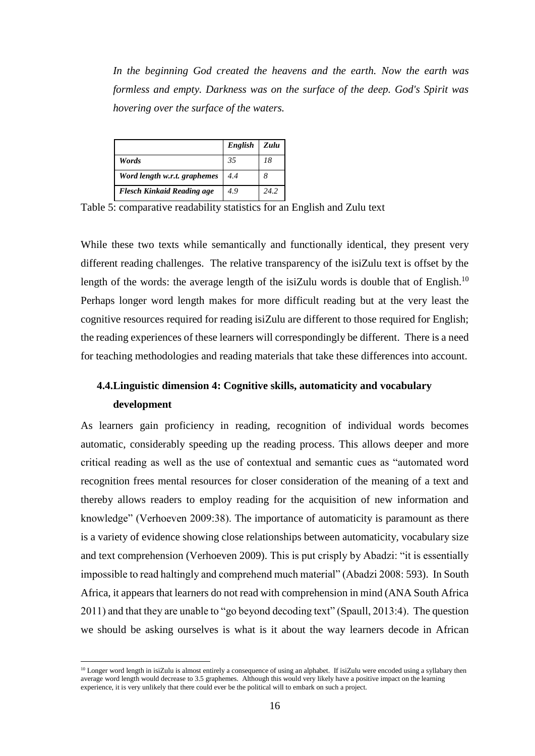*In the beginning God created the heavens and the earth. Now the earth was formless and empty. Darkness was on the surface of the deep. God's Spirit was hovering over the surface of the waters.*

|                                   | English | Zulu |
|-----------------------------------|---------|------|
| Words                             | 35      | 18   |
| Word length w.r.t. graphemes      | 4.4     |      |
| <b>Flesch Kinkaid Reading age</b> | 4.9     | 24.2 |

Table 5: comparative readability statistics for an English and Zulu text

While these two texts while semantically and functionally identical, they present very different reading challenges. The relative transparency of the isiZulu text is offset by the length of the words: the average length of the isiZulu words is double that of English.<sup>10</sup> Perhaps longer word length makes for more difficult reading but at the very least the cognitive resources required for reading isiZulu are different to those required for English; the reading experiences of these learners will correspondingly be different. There is a need for teaching methodologies and reading materials that take these differences into account.

# **4.4.Linguistic dimension 4: Cognitive skills, automaticity and vocabulary development**

As learners gain proficiency in reading, recognition of individual words becomes automatic, considerably speeding up the reading process. This allows deeper and more critical reading as well as the use of contextual and semantic cues as "automated word recognition frees mental resources for closer consideration of the meaning of a text and thereby allows readers to employ reading for the acquisition of new information and knowledge" (Verhoeven 2009:38). The importance of automaticity is paramount as there is a variety of evidence showing close relationships between automaticity, vocabulary size and text comprehension (Verhoeven 2009). This is put crisply by Abadzi: "it is essentially impossible to read haltingly and comprehend much material" (Abadzi 2008: 593). In South Africa, it appears that learners do not read with comprehension in mind (ANA South Africa 2011) and that they are unable to "go beyond decoding text" (Spaull, 2013:4). The question we should be asking ourselves is what is it about the way learners decode in African

 $\overline{a}$ 

<sup>&</sup>lt;sup>10</sup> Longer word length in isiZulu is almost entirely a consequence of using an alphabet. If isiZulu were encoded using a syllabary then average word length would decrease to 3.5 graphemes. Although this would very likely have a positive impact on the learning experience, it is very unlikely that there could ever be the political will to embark on such a project.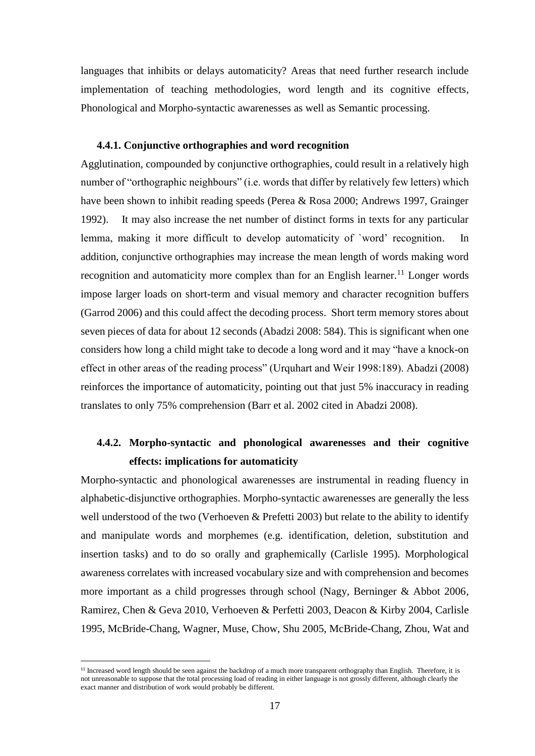languages that inhibits or delays automaticity? Areas that need further research include implementation of teaching methodologies, word length and its cognitive effects, Phonological and Morpho-syntactic awarenesses as well as Semantic processing.

## **4.4.1. Conjunctive orthographies and word recognition**

Agglutination, compounded by conjunctive orthographies, could result in a relatively high number of "orthographic neighbours" (i.e. words that differ by relatively few letters) which have been shown to inhibit reading speeds (Perea & Rosa 2000; Andrews 1997, Grainger 1992). It may also increase the net number of distinct forms in texts for any particular lemma, making it more difficult to develop automaticity of `word' recognition. In addition, conjunctive orthographies may increase the mean length of words making word recognition and automaticity more complex than for an English learner.<sup>11</sup> Longer words impose larger loads on short-term and visual memory and character recognition buffers (Garrod 2006) and this could affect the decoding process. Short term memory stores about seven pieces of data for about 12 seconds (Abadzi 2008: 584). This is significant when one considers how long a child might take to decode a long word and it may "have a knock-on effect in other areas of the reading process" (Urquhart and Weir 1998:189). Abadzi (2008) reinforces the importance of automaticity, pointing out that just 5% inaccuracy in reading translates to only 75% comprehension (Barr et al. 2002 cited in Abadzi 2008).

# **4.4.2. Morpho-syntactic and phonological awarenesses and their cognitive effects: implications for automaticity**

Morpho-syntactic and phonological awarenesses are instrumental in reading fluency in alphabetic-disjunctive orthographies. Morpho-syntactic awarenesses are generally the less well understood of the two (Verhoeven & Prefetti 2003) but relate to the ability to identify and manipulate words and morphemes (e.g. identification, deletion, substitution and insertion tasks) and to do so orally and graphemically (Carlisle 1995). Morphological awareness correlates with increased vocabulary size and with comprehension and becomes more important as a child progresses through school (Nagy, Berninger & Abbot 2006, Ramirez, Chen & Geva 2010, Verhoeven & Perfetti 2003, Deacon & Kirby 2004, Carlisle 1995, McBride-Chang, Wagner, Muse, Chow, Shu 2005, McBride-Chang, Zhou, Wat and

 $\overline{a}$ 

<sup>&</sup>lt;sup>11</sup> Increased word length should be seen against the backdrop of a much more transparent orthography than English. Therefore, it is not unreasonable to suppose that the total processing load of reading in either language is not grossly different, although clearly the exact manner and distribution of work would probably be different.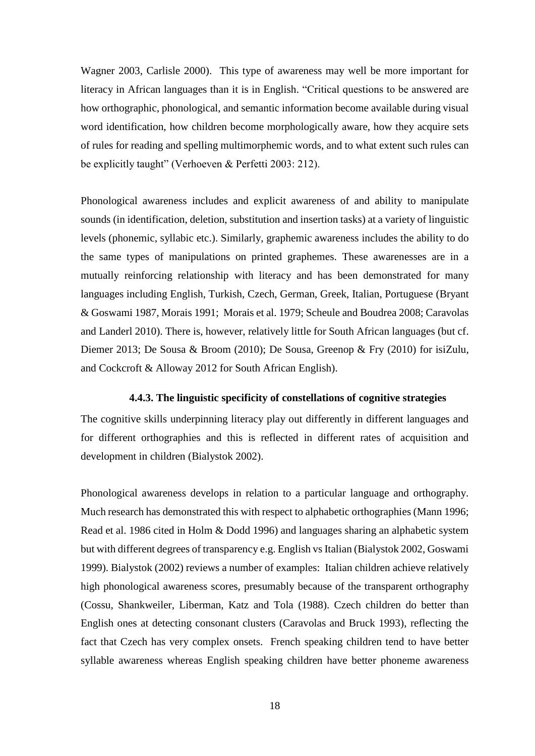Wagner 2003, Carlisle 2000). This type of awareness may well be more important for literacy in African languages than it is in English. "Critical questions to be answered are how orthographic, phonological, and semantic information become available during visual word identification, how children become morphologically aware, how they acquire sets of rules for reading and spelling multimorphemic words, and to what extent such rules can be explicitly taught" (Verhoeven & Perfetti 2003: 212).

Phonological awareness includes and explicit awareness of and ability to manipulate sounds (in identification, deletion, substitution and insertion tasks) at a variety of linguistic levels (phonemic, syllabic etc.). Similarly, graphemic awareness includes the ability to do the same types of manipulations on printed graphemes. These awarenesses are in a mutually reinforcing relationship with literacy and has been demonstrated for many languages including English, Turkish, Czech, German, Greek, Italian, Portuguese (Bryant & Goswami 1987, Morais 1991; Morais et al. 1979; Scheule and Boudrea 2008; Caravolas and Landerl 2010). There is, however, relatively little for South African languages (but cf. Diemer 2013; De Sousa & Broom (2010); De Sousa, Greenop & Fry (2010) for isiZulu, and Cockcroft & Alloway 2012 for South African English).

### **4.4.3. The linguistic specificity of constellations of cognitive strategies**

The cognitive skills underpinning literacy play out differently in different languages and for different orthographies and this is reflected in different rates of acquisition and development in children (Bialystok 2002).

Phonological awareness develops in relation to a particular language and orthography. Much research has demonstrated this with respect to alphabetic orthographies (Mann 1996; Read et al. 1986 cited in Holm & Dodd 1996) and languages sharing an alphabetic system but with different degrees of transparency e.g. English vs Italian (Bialystok 2002, Goswami 1999). Bialystok (2002) reviews a number of examples: Italian children achieve relatively high phonological awareness scores, presumably because of the transparent orthography (Cossu, Shankweiler, Liberman, Katz and Tola (1988). Czech children do better than English ones at detecting consonant clusters (Caravolas and Bruck 1993), reflecting the fact that Czech has very complex onsets. French speaking children tend to have better syllable awareness whereas English speaking children have better phoneme awareness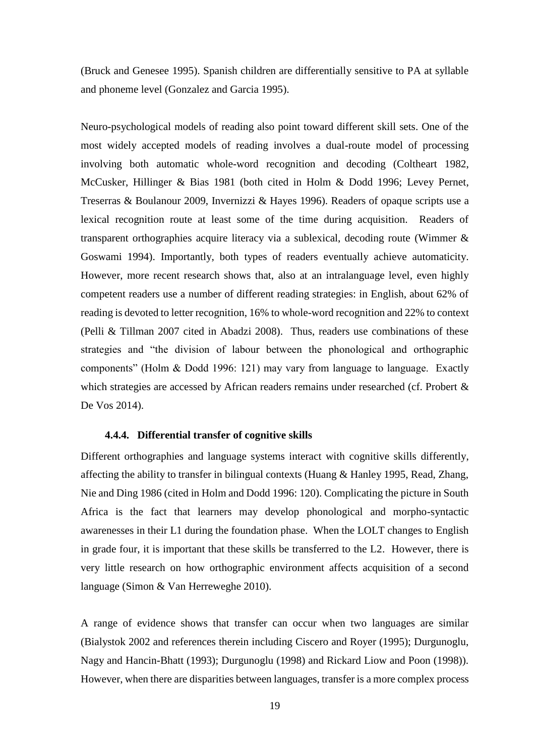(Bruck and Genesee 1995). Spanish children are differentially sensitive to PA at syllable and phoneme level (Gonzalez and Garcia 1995).

Neuro-psychological models of reading also point toward different skill sets. One of the most widely accepted models of reading involves a dual-route model of processing involving both automatic whole-word recognition and decoding (Coltheart 1982, McCusker, Hillinger & Bias 1981 (both cited in Holm & Dodd 1996; Levey Pernet, Treserras & Boulanour 2009, Invernizzi & Hayes 1996). Readers of opaque scripts use a lexical recognition route at least some of the time during acquisition. Readers of transparent orthographies acquire literacy via a sublexical, decoding route (Wimmer & Goswami 1994). Importantly, both types of readers eventually achieve automaticity. However, more recent research shows that, also at an intralanguage level, even highly competent readers use a number of different reading strategies: in English, about 62% of reading is devoted to letter recognition, 16% to whole-word recognition and 22% to context (Pelli & Tillman 2007 cited in Abadzi 2008). Thus, readers use combinations of these strategies and "the division of labour between the phonological and orthographic components" (Holm & Dodd 1996: 121) may vary from language to language. Exactly which strategies are accessed by African readers remains under researched (cf. Probert & De Vos 2014).

#### **4.4.4. Differential transfer of cognitive skills**

Different orthographies and language systems interact with cognitive skills differently, affecting the ability to transfer in bilingual contexts (Huang & Hanley 1995, Read, Zhang, Nie and Ding 1986 (cited in Holm and Dodd 1996: 120). Complicating the picture in South Africa is the fact that learners may develop phonological and morpho-syntactic awarenesses in their L1 during the foundation phase. When the LOLT changes to English in grade four, it is important that these skills be transferred to the L2. However, there is very little research on how orthographic environment affects acquisition of a second language (Simon & Van Herreweghe 2010).

A range of evidence shows that transfer can occur when two languages are similar (Bialystok 2002 and references therein including Ciscero and Royer (1995); Durgunoglu, Nagy and Hancin-Bhatt (1993); Durgunoglu (1998) and Rickard Liow and Poon (1998)). However, when there are disparities between languages, transfer is a more complex process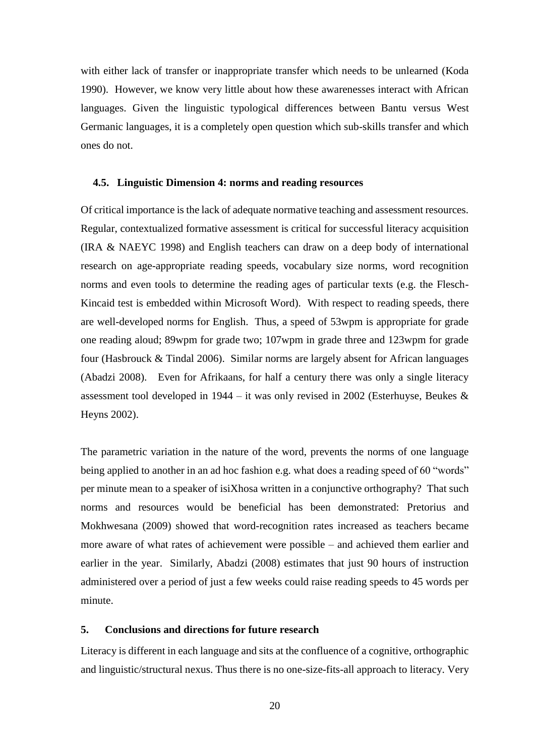with either lack of transfer or inappropriate transfer which needs to be unlearned (Koda 1990). However, we know very little about how these awarenesses interact with African languages. Given the linguistic typological differences between Bantu versus West Germanic languages, it is a completely open question which sub-skills transfer and which ones do not.

#### **4.5. Linguistic Dimension 4: norms and reading resources**

Of critical importance is the lack of adequate normative teaching and assessment resources. Regular, contextualized formative assessment is critical for successful literacy acquisition (IRA & NAEYC 1998) and English teachers can draw on a deep body of international research on age-appropriate reading speeds, vocabulary size norms, word recognition norms and even tools to determine the reading ages of particular texts (e.g. the Flesch-Kincaid test is embedded within Microsoft Word). With respect to reading speeds, there are well-developed norms for English. Thus, a speed of 53wpm is appropriate for grade one reading aloud; 89wpm for grade two; 107wpm in grade three and 123wpm for grade four (Hasbrouck & Tindal 2006). Similar norms are largely absent for African languages (Abadzi 2008). Even for Afrikaans, for half a century there was only a single literacy assessment tool developed in 1944 – it was only revised in 2002 (Esterhuyse, Beukes & Heyns 2002).

The parametric variation in the nature of the word, prevents the norms of one language being applied to another in an ad hoc fashion e.g. what does a reading speed of 60 "words" per minute mean to a speaker of isiXhosa written in a conjunctive orthography? That such norms and resources would be beneficial has been demonstrated: Pretorius and Mokhwesana (2009) showed that word-recognition rates increased as teachers became more aware of what rates of achievement were possible – and achieved them earlier and earlier in the year. Similarly, Abadzi (2008) estimates that just 90 hours of instruction administered over a period of just a few weeks could raise reading speeds to 45 words per minute.

# **5. Conclusions and directions for future research**

Literacy is different in each language and sits at the confluence of a cognitive, orthographic and linguistic/structural nexus. Thus there is no one-size-fits-all approach to literacy. Very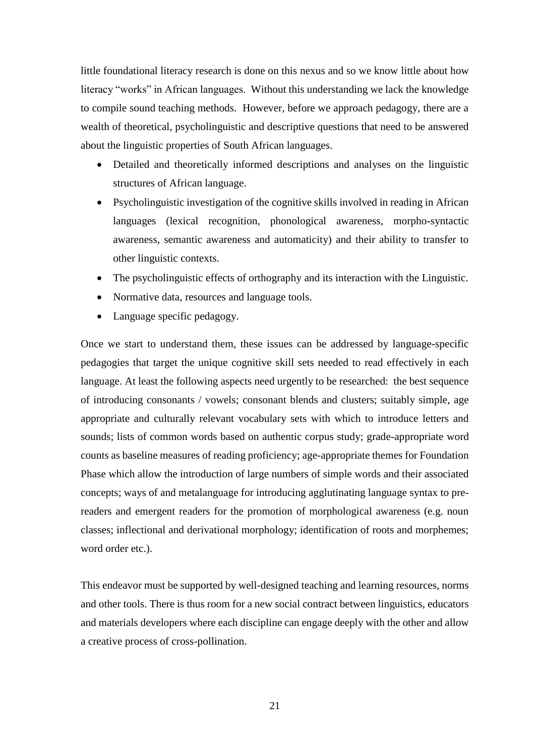little foundational literacy research is done on this nexus and so we know little about how literacy "works" in African languages. Without this understanding we lack the knowledge to compile sound teaching methods. However, before we approach pedagogy, there are a wealth of theoretical, psycholinguistic and descriptive questions that need to be answered about the linguistic properties of South African languages.

- Detailed and theoretically informed descriptions and analyses on the linguistic structures of African language.
- Psycholinguistic investigation of the cognitive skills involved in reading in African languages (lexical recognition, phonological awareness, morpho-syntactic awareness, semantic awareness and automaticity) and their ability to transfer to other linguistic contexts.
- The psycholinguistic effects of orthography and its interaction with the Linguistic.
- Normative data, resources and language tools.
- Language specific pedagogy.

Once we start to understand them, these issues can be addressed by language-specific pedagogies that target the unique cognitive skill sets needed to read effectively in each language. At least the following aspects need urgently to be researched: the best sequence of introducing consonants / vowels; consonant blends and clusters; suitably simple, age appropriate and culturally relevant vocabulary sets with which to introduce letters and sounds; lists of common words based on authentic corpus study; grade-appropriate word counts as baseline measures of reading proficiency; age-appropriate themes for Foundation Phase which allow the introduction of large numbers of simple words and their associated concepts; ways of and metalanguage for introducing agglutinating language syntax to prereaders and emergent readers for the promotion of morphological awareness (e.g. noun classes; inflectional and derivational morphology; identification of roots and morphemes; word order etc.).

This endeavor must be supported by well-designed teaching and learning resources, norms and other tools. There is thus room for a new social contract between linguistics, educators and materials developers where each discipline can engage deeply with the other and allow a creative process of cross-pollination.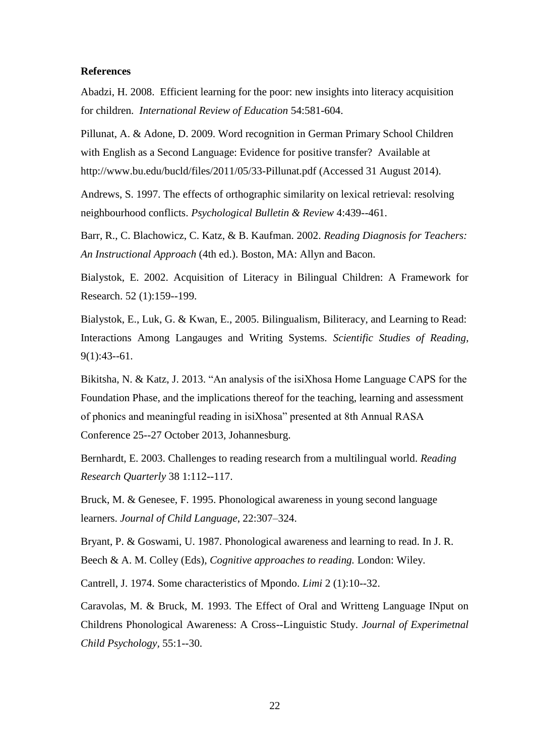#### **References**

Abadzi, H. 2008. Efficient learning for the poor: new insights into literacy acquisition for children. *International Review of Education* 54:581-604.

Pillunat, A. & Adone, D. 2009. Word recognition in German Primary School Children with English as a Second Language: Evidence for positive transfer? Available at http://www.bu.edu/bucld/files/2011/05/33-Pillunat.pdf (Accessed 31 August 2014).

Andrews, S. 1997. The effects of orthographic similarity on lexical retrieval: resolving neighbourhood conflicts. *Psychological Bulletin & Review* 4:439--461.

Barr, R., C. Blachowicz, C. Katz, & B. Kaufman. 2002. *Reading Diagnosis for Teachers: An Instructional Approach* (4th ed.). Boston, MA: Allyn and Bacon.

Bialystok, E. 2002. Acquisition of Literacy in Bilingual Children: A Framework for Research. 52 (1):159--199.

Bialystok, E., Luk, G. & Kwan, E., 2005. Bilingualism, Biliteracy, and Learning to Read: Interactions Among Langauges and Writing Systems. *Scientific Studies of Reading,*  9(1):43--61.

Bikitsha, N. & Katz, J. 2013. "An analysis of the isiXhosa Home Language CAPS for the Foundation Phase, and the implications thereof for the teaching, learning and assessment of phonics and meaningful reading in isiXhosa" presented at 8th Annual RASA Conference 25--27 October 2013, Johannesburg.

Bernhardt, E. 2003. Challenges to reading research from a multilingual world. *Reading Research Quarterly* 38 1:112--117.

Bruck, M. & Genesee, F. 1995. Phonological awareness in young second language learners. *Journal of Child Language*, 22:307–324.

Bryant, P. & Goswami, U. 1987. Phonological awareness and learning to read. In J. R. Beech & A. M. Colley (Eds), *Cognitive approaches to reading.* London: Wiley.

Cantrell, J. 1974. Some characteristics of Mpondo. *Limi* 2 (1):10--32.

Caravolas, M. & Bruck, M. 1993. The Effect of Oral and Writteng Language INput on Childrens Phonological Awareness: A Cross--Linguistic Study. *Journal of Experimetnal Child Psychology,* 55:1--30.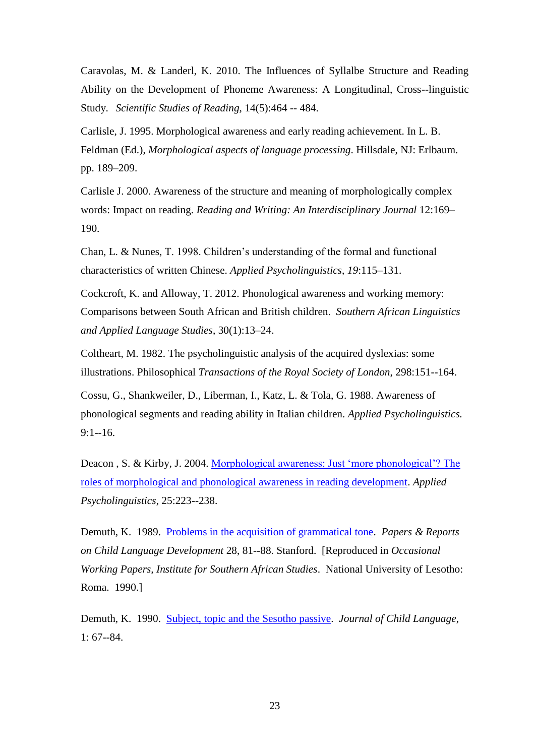Caravolas, M. & Landerl, K. 2010. The Influences of Syllalbe Structure and Reading Ability on the Development of Phoneme Awareness: A Longitudinal, Cross--linguistic Study. *Scientific Studies of Reading,* 14(5):464 -- 484.

Carlisle, J. 1995. Morphological awareness and early reading achievement. In L. B. Feldman (Ed.), *Morphological aspects of language processing*. Hillsdale, NJ: Erlbaum. pp. 189–209.

Carlisle J. 2000. Awareness of the structure and meaning of morphologically complex words: Impact on reading. *Reading and Writing: An Interdisciplinary Journal* 12:169– 190.

Chan, L. & Nunes, T. 1998. Children's understanding of the formal and functional characteristics of written Chinese. *Applied Psycholinguistics*, *19*:115–131.

Cockcroft, K. and Alloway, T. 2012. Phonological awareness and working memory: Comparisons between South African and British children. *Southern African Linguistics and Applied Language Studies*, 30(1):13–24.

Coltheart, M. 1982. The psycholinguistic analysis of the acquired dyslexias: some illustrations. Philosophical *Transactions of the Royal Society of London*, 298:151--164.

Cossu, G., Shankweiler, D., Liberman, I., Katz, L. & Tola, G. 1988. Awareness of phonological segments and reading ability in Italian children. *Applied Psycholinguistics.*  9:1--16.

Deacon , S. & Kirby, J. 2004. [Morphological awareness: Just 'more phonological'? The](http://journals.cambridge.org/action/displayAbstract?fromPage=online&aid=220628)  [roles of morphological and phonological awareness in reading development.](http://journals.cambridge.org/action/displayAbstract?fromPage=online&aid=220628) *Applied Psycholinguistics*, 25:223--238.

Demuth, K. 1989. [Problems in the acquisition of grammatical tone.](http://www.cog.brown.edu/people/demuth/Articles/1989DemuthTone.pdf) *Papers & Reports on Child Language Development* 28, 81--88. Stanford. [Reproduced in *Occasional Working Papers, Institute for Southern African Studies*. National University of Lesotho: Roma. 1990.]

Demuth, K. 1990. [Subject, topic and the Sesotho passive.](http://www.cog.brown.edu/people/demuth/Articles/1990Demuth.pdf) *Journal of Child Language*, 1: 67--84.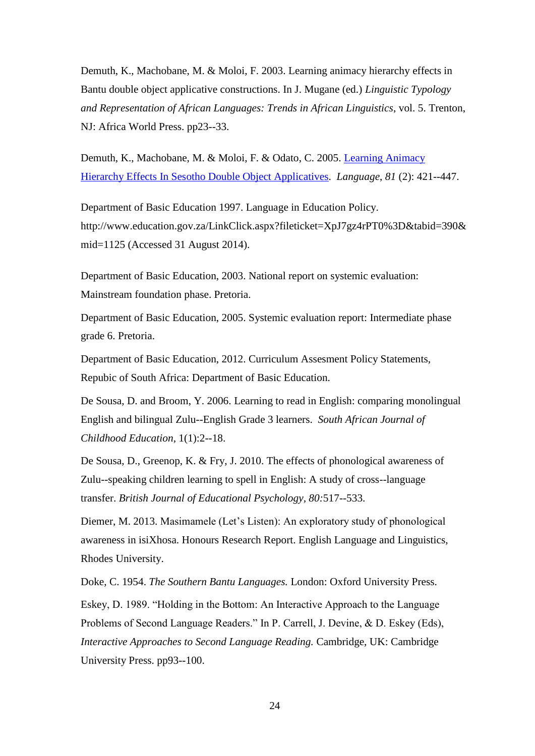Demuth, K., Machobane, M. & Moloi, F. 2003. Learning animacy hierarchy effects in Bantu double object applicative constructions. In J. Mugane (ed.) *Linguistic Typology and Representation of African Languages: Trends in African Linguistics*, vol. 5. Trenton, NJ: Africa World Press. pp23--33.

Demuth, K., Machobane, M. & Moloi, F. & Odato, C. 2005. [Learning Animacy](http://www.cog.brown.edu/people/demuth/Articles/2005DemuthetalAnimacy.pdf)  [Hierarchy Effects In Sesotho Double Object Applicatives.](http://www.cog.brown.edu/people/demuth/Articles/2005DemuthetalAnimacy.pdf) *Language*, *81* (2): 421--447.

Department of Basic Education 1997. Language in Education Policy. http://www.education.gov.za/LinkClick.aspx?fileticket=XpJ7gz4rPT0%3D&tabid=390& mid=1125 (Accessed 31 August 2014).

Department of Basic Education, 2003. National report on systemic evaluation: Mainstream foundation phase. Pretoria.

Department of Basic Education, 2005. Systemic evaluation report: Intermediate phase grade 6. Pretoria.

Department of Basic Education, 2012. Curriculum Assesment Policy Statements, Repubic of South Africa: Department of Basic Education.

De Sousa, D. and Broom, Y. 2006. Learning to read in English: comparing monolingual English and bilingual Zulu--English Grade 3 learners. *South African Journal of Childhood Education*, 1(1):2--18.

De Sousa, D., Greenop, K. & Fry, J. 2010. The effects of phonological awareness of Zulu--speaking children learning to spell in English: A study of cross--language transfer. *British Journal of Educational Psychology, 80:*517--533.

Diemer, M. 2013. Masimamele (Let's Listen): An exploratory study of phonological awareness in isiXhosa. Honours Research Report. English Language and Linguistics, Rhodes University.

Doke, C. 1954. *The Southern Bantu Languages.* London: Oxford University Press.

Eskey, D. 1989. "Holding in the Bottom: An Interactive Approach to the Language Problems of Second Language Readers." In P. Carrell, J. Devine, & D. Eskey (Eds), *Interactive Approaches to Second Language Reading.* Cambridge, UK: Cambridge University Press. pp93--100.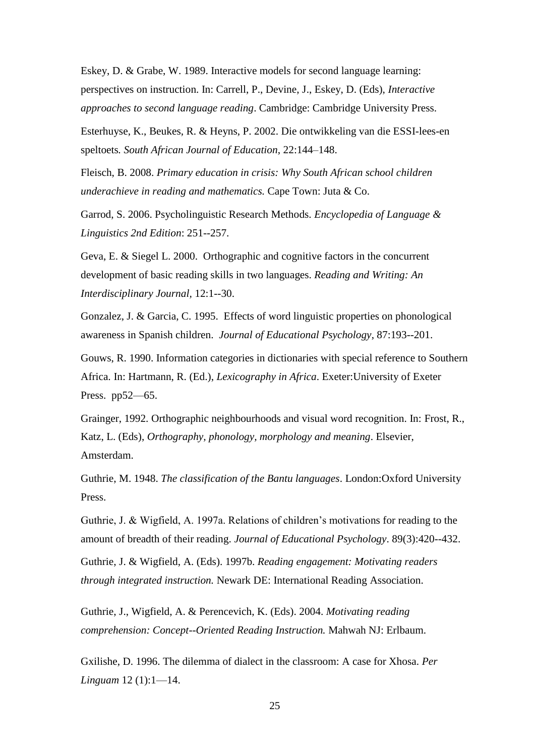Eskey, D. & Grabe, W. 1989. Interactive models for second language learning: perspectives on instruction. In: Carrell, P., Devine, J., Eskey, D. (Eds), *Interactive approaches to second language reading*. Cambridge: Cambridge University Press.

Esterhuyse, K., Beukes, R. & Heyns, P. 2002. Die ontwikkeling van die ESSI-lees-en speltoets*. South African Journal of Education*, 22:144–148.

Fleisch, B. 2008. *Primary education in crisis: Why South African school children underachieve in reading and mathematics.* Cape Town: Juta & Co.

Garrod, S. 2006. Psycholinguistic Research Methods*. Encyclopedia of Language & Linguistics 2nd Edition*: 251--257.

Geva, E. & Siegel L. 2000. Orthographic and cognitive factors in the concurrent development of basic reading skills in two languages. *Reading and Writing: An Interdisciplinary Journal,* 12:1--30.

Gonzalez, J. & Garcia, C. 1995. Effects of word linguistic properties on phonological awareness in Spanish children. *Journal of Educational Psychology*, 87:193--201.

Gouws, R. 1990. Information categories in dictionaries with special reference to Southern Africa. In: Hartmann, R. (Ed.), *Lexicography in Africa*. Exeter:University of Exeter Press. pp52—65.

Grainger, 1992. Orthographic neighbourhoods and visual word recognition. In: Frost, R., Katz, L. (Eds), *Orthography, phonology, morphology and meaning*. Elsevier, Amsterdam.

Guthrie, M. 1948. *The classification of the Bantu languages*. London:Oxford University Press.

Guthrie, J. & Wigfield, A. 1997a. Relations of children's motivations for reading to the amount of breadth of their reading. *Journal of Educational Psychology*. 89(3):420--432.

Guthrie, J. & Wigfield, A. (Eds). 1997b. *Reading engagement: Motivating readers through integrated instruction.* Newark DE: International Reading Association.

Guthrie, J., Wigfield, A. & Perencevich, K. (Eds). 2004. *[Motivating reading](http://www.cori.umd.edu/research-publications/book.php#motivate)  [comprehension: Concept--Oriented Reading Instruction.](http://www.cori.umd.edu/research-publications/book.php#motivate)* Mahwah NJ: Erlbaum.

Gxilishe, D. 1996. The dilemma of dialect in the classroom: A case for Xhosa. *Per Linguam* 12 (1):1—14.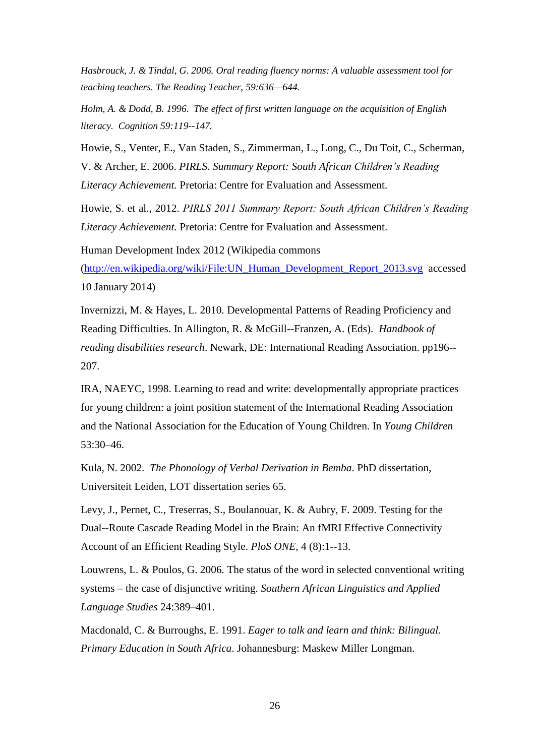*Hasbrouck, J. & Tindal, G. 2006. Oral reading fluency norms: A valuable assessment tool for teaching teachers. The Reading Teacher, 59:636—644.*

*Holm, A. & Dodd, B. 1996. The effect of first written language on the acquisition of English literacy. Cognition 59:119--147.*

Howie, S., Venter, E., Van Staden, S., Zimmerman, L., Long, C., Du Toit, C., Scherman, V. & Archer, E. 2006. *PIRLS. Summary Report: South African Children's Reading Literacy Achievement.* Pretoria: Centre for Evaluation and Assessment.

Howie, S. et al., 2012. *PIRLS 2011 Summary Report: South African Children's Reading Literacy Achievement.* Pretoria: Centre for Evaluation and Assessment.

Human Development Index 2012 (Wikipedia commons [\(http://en.wikipedia.org/wiki/File:UN\\_Human\\_Development\\_Report\\_2013.svg](http://en.wikipedia.org/wiki/File:UN_Human_Development_Report_2013.svg) accessed 10 January 2014)

Invernizzi, M. & Hayes, L. 2010. Developmental Patterns of Reading Proficiency and Reading Difficulties. In Allington, R. & McGill--Franzen, A. (Eds). *Handbook of reading disabilities research*. Newark, DE: International Reading Association. pp196-- 207.

IRA, NAEYC, 1998. Learning to read and write: developmentally appropriate practices for young children: a joint position statement of the International Reading Association and the National Association for the Education of Young Children. In *Young Children*  53:30–46.

Kula, N. 2002. *The Phonology of Verbal Derivation in Bemba*. PhD dissertation, Universiteit Leiden, LOT dissertation series 65.

Levy, J., Pernet, C., Treserras, S., Boulanouar, K. & Aubry, F. 2009. Testing for the Dual--Route Cascade Reading Model in the Brain: An fMRI Effective Connectivity Account of an Efficient Reading Style. *PloS ONE*, 4 (8):1--13.

Louwrens, L. & Poulos, G. 2006. The status of the word in selected conventional writing systems – the case of disjunctive writing. *Southern African Linguistics and Applied Language Studies* 24:389–401.

Macdonald, C. & Burroughs, E. 1991. *Eager to talk and learn and think: Bilingual. Primary Education in South Africa*. Johannesburg: Maskew Miller Longman.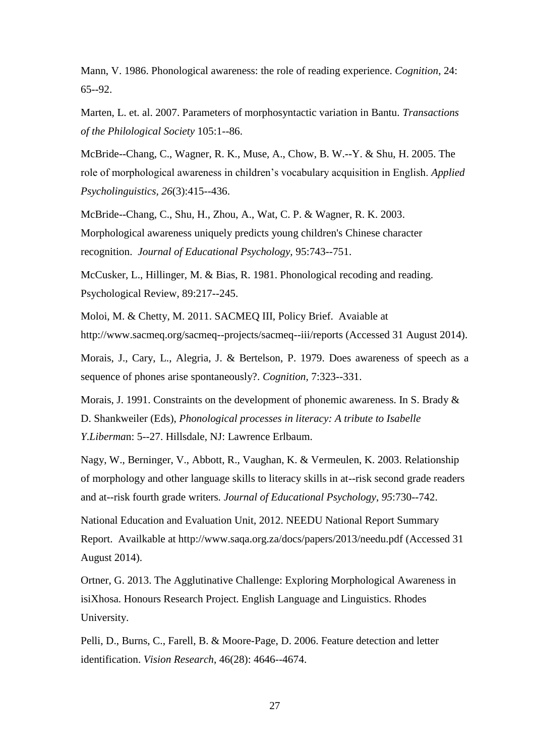Mann, V. 1986. Phonological awareness: the role of reading experience. *Cognition*, 24: 65--92.

Marten, L. et. al. 2007. Parameters of morphosyntactic variation in Bantu. *Transactions of the Philological Society* 105:1--86.

McBride--Chang, C., Wagner, R. K., Muse, A., Chow, B. W.--Y. & Shu, H. 2005. The role of morphological awareness in children's vocabulary acquisition in English. *Applied Psycholinguistics, 26*(3):415--436.

McBride--Chang, C., Shu, H., Zhou, A., Wat, C. P. & Wagner, R. K. 2003. Morphological awareness uniquely predicts young children's Chinese character recognition. *Journal of Educational Psychology,* 95:743--751.

McCusker, L., Hillinger, M. & Bias, R. 1981. Phonological recoding and reading. Psychological Review, 89:217--245.

Moloi, M. & Chetty, M. 2011. SACMEQ III, Policy Brief. Avaiable at http://www.sacmeq.org/sacmeq--projects/sacmeq--iii/reports (Accessed 31 August 2014).

Morais, J., Cary, L., Alegria, J. & Bertelson, P. 1979. Does awareness of speech as a sequence of phones arise spontaneously?. *Cognition,* 7:323--331.

Morais, J. 1991. Constraints on the development of phonemic awareness. In S. Brady & D. Shankweiler (Eds), *Phonological processes in literacy: A tribute to Isabelle Y.Liberma*n: 5--27. Hillsdale, NJ: Lawrence Erlbaum.

Nagy, W., Berninger, V., Abbott, R., Vaughan, K. & Vermeulen, K. 2003. Relationship of morphology and other language skills to literacy skills in at--risk second grade readers and at--risk fourth grade writers*. Journal of Educational Psychology*, *95*:730--742.

National Education and Evaluation Unit, 2012. NEEDU National Report Summary Report. Availkable at http://www.saqa.org.za/docs/papers/2013/needu.pdf (Accessed 31 August 2014).

Ortner, G. 2013. The Agglutinative Challenge: Exploring Morphological Awareness in isiXhosa. Honours Research Project. English Language and Linguistics. Rhodes University.

Pelli, D., Burns, C., Farell, B. & Moore-Page, D. 2006. Feature detection and letter identification. *Vision Research*, 46(28): 4646--4674.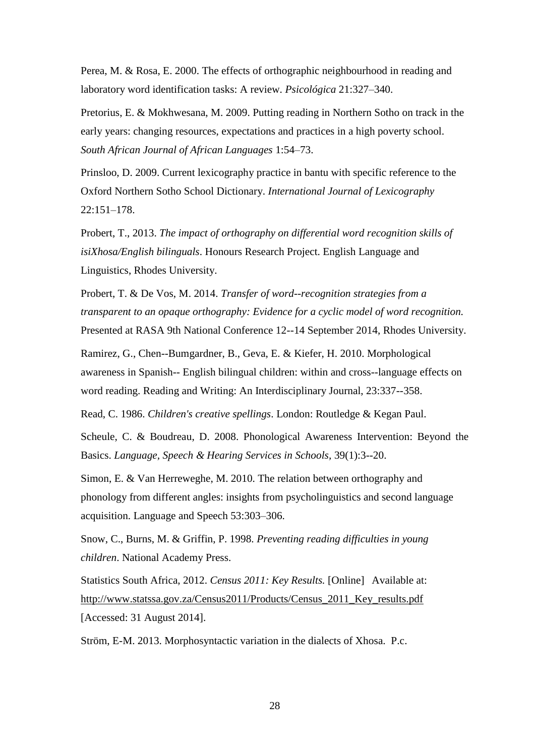Perea, M. & Rosa, E. 2000. The effects of orthographic neighbourhood in reading and laboratory word identification tasks: A review. *Psicológica* 21:327–340.

Pretorius, E. & Mokhwesana, M. 2009. Putting reading in Northern Sotho on track in the early years: changing resources, expectations and practices in a high poverty school. *South African Journal of African Languages* 1:54–73.

Prinsloo, D. 2009. Current lexicography practice in bantu with specific reference to the Oxford Northern Sotho School Dictionary. *International Journal of Lexicography* 22:151–178.

Probert, T., 2013. *The impact of orthography on differential word recognition skills of isiXhosa/English bilinguals*. Honours Research Project. English Language and Linguistics, Rhodes University.

Probert, T. & De Vos, M. 2014. *Transfer of word--recognition strategies from a transparent to an opaque orthography: Evidence for a cyclic model of word recognition.* Presented at RASA 9th National Conference 12--14 September 2014, Rhodes University.

Ramirez, G., Chen--Bumgardner, B., Geva, E. & Kiefer, H. 2010. Morphological awareness in Spanish-- English bilingual children: within and cross--language effects on word reading. Reading and Writing: An Interdisciplinary Journal, 23:337--358.

Read, C. 1986. *Children's creative spellings*. London: Routledge & Kegan Paul.

Scheule, C. & Boudreau, D. 2008. Phonological Awareness Intervention: Beyond the Basics. *Language, Speech & Hearing Services in Schools,* 39(1):3--20.

Simon, E. & Van Herreweghe, M. 2010. The relation between orthography and phonology from different angles: insights from psycholinguistics and second language acquisition. Language and Speech 53:303–306.

Snow, C., Burns, M. & Griffin, P. 1998. *Preventing reading difficulties in young children*. National Academy Press.

Statistics South Africa, 2012. *Census 2011: Key Results.* [Online] Available at: http://www.statssa.gov.za/Census2011/Products/Census\_2011\_Key\_results.pdf [Accessed: 31 August 2014].

Ström, E-M. 2013. Morphosyntactic variation in the dialects of Xhosa. P.c.